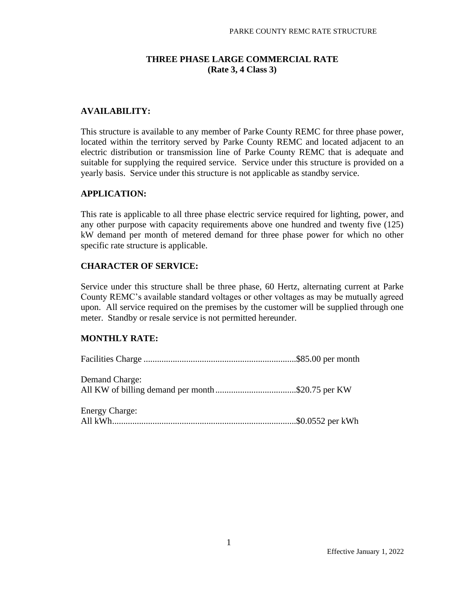## **THREE PHASE LARGE COMMERCIAL RATE (Rate 3, 4 Class 3)**

## **AVAILABILITY:**

This structure is available to any member of Parke County REMC for three phase power, located within the territory served by Parke County REMC and located adjacent to an electric distribution or transmission line of Parke County REMC that is adequate and suitable for supplying the required service. Service under this structure is provided on a yearly basis. Service under this structure is not applicable as standby service.

#### **APPLICATION:**

This rate is applicable to all three phase electric service required for lighting, power, and any other purpose with capacity requirements above one hundred and twenty five (125) kW demand per month of metered demand for three phase power for which no other specific rate structure is applicable.

#### **CHARACTER OF SERVICE:**

Service under this structure shall be three phase, 60 Hertz, alternating current at Parke County REMC's available standard voltages or other voltages as may be mutually agreed upon. All service required on the premises by the customer will be supplied through one meter. Standby or resale service is not permitted hereunder.

#### **MONTHLY RATE:**

| <b>Demand Charge:</b> |  |
|-----------------------|--|
| <b>Energy Charge:</b> |  |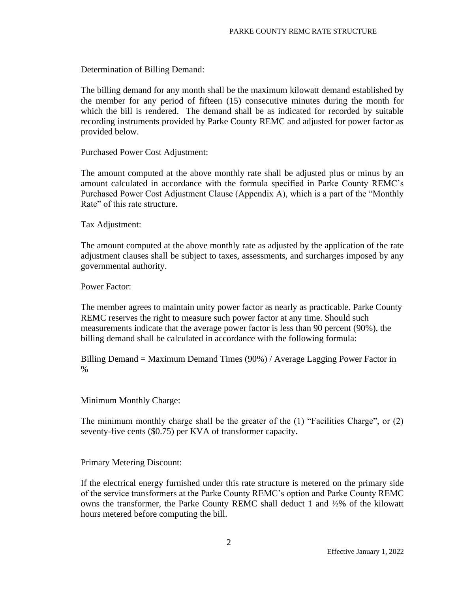Determination of Billing Demand:

The billing demand for any month shall be the maximum kilowatt demand established by the member for any period of fifteen (15) consecutive minutes during the month for which the bill is rendered. The demand shall be as indicated for recorded by suitable recording instruments provided by Parke County REMC and adjusted for power factor as provided below.

Purchased Power Cost Adjustment:

The amount computed at the above monthly rate shall be adjusted plus or minus by an amount calculated in accordance with the formula specified in Parke County REMC's Purchased Power Cost Adjustment Clause (Appendix A), which is a part of the "Monthly Rate" of this rate structure.

Tax Adjustment:

The amount computed at the above monthly rate as adjusted by the application of the rate adjustment clauses shall be subject to taxes, assessments, and surcharges imposed by any governmental authority.

Power Factor:

The member agrees to maintain unity power factor as nearly as practicable. Parke County REMC reserves the right to measure such power factor at any time. Should such measurements indicate that the average power factor is less than 90 percent (90%), the billing demand shall be calculated in accordance with the following formula:

Billing Demand = Maximum Demand Times (90%) / Average Lagging Power Factor in %

Minimum Monthly Charge:

The minimum monthly charge shall be the greater of the (1) "Facilities Charge", or (2) seventy-five cents (\$0.75) per KVA of transformer capacity.

Primary Metering Discount:

If the electrical energy furnished under this rate structure is metered on the primary side of the service transformers at the Parke County REMC's option and Parke County REMC owns the transformer, the Parke County REMC shall deduct 1 and ½% of the kilowatt hours metered before computing the bill.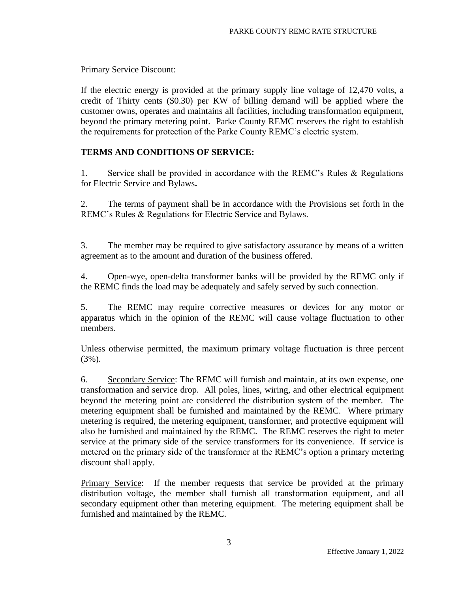Primary Service Discount:

If the electric energy is provided at the primary supply line voltage of 12,470 volts, a credit of Thirty cents (\$0.30) per KW of billing demand will be applied where the customer owns, operates and maintains all facilities, including transformation equipment, beyond the primary metering point. Parke County REMC reserves the right to establish the requirements for protection of the Parke County REMC's electric system.

# **TERMS AND CONDITIONS OF SERVICE:**

1. Service shall be provided in accordance with the REMC's Rules & Regulations for Electric Service and Bylaws**.** 

2. The terms of payment shall be in accordance with the Provisions set forth in the REMC's Rules & Regulations for Electric Service and Bylaws.

3. The member may be required to give satisfactory assurance by means of a written agreement as to the amount and duration of the business offered.

4. Open-wye, open-delta transformer banks will be provided by the REMC only if the REMC finds the load may be adequately and safely served by such connection.

5. The REMC may require corrective measures or devices for any motor or apparatus which in the opinion of the REMC will cause voltage fluctuation to other members.

Unless otherwise permitted, the maximum primary voltage fluctuation is three percent (3%).

6. Secondary Service: The REMC will furnish and maintain, at its own expense, one transformation and service drop. All poles, lines, wiring, and other electrical equipment beyond the metering point are considered the distribution system of the member. The metering equipment shall be furnished and maintained by the REMC. Where primary metering is required, the metering equipment, transformer, and protective equipment will also be furnished and maintained by the REMC. The REMC reserves the right to meter service at the primary side of the service transformers for its convenience. If service is metered on the primary side of the transformer at the REMC's option a primary metering discount shall apply.

Primary Service: If the member requests that service be provided at the primary distribution voltage, the member shall furnish all transformation equipment, and all secondary equipment other than metering equipment. The metering equipment shall be furnished and maintained by the REMC.